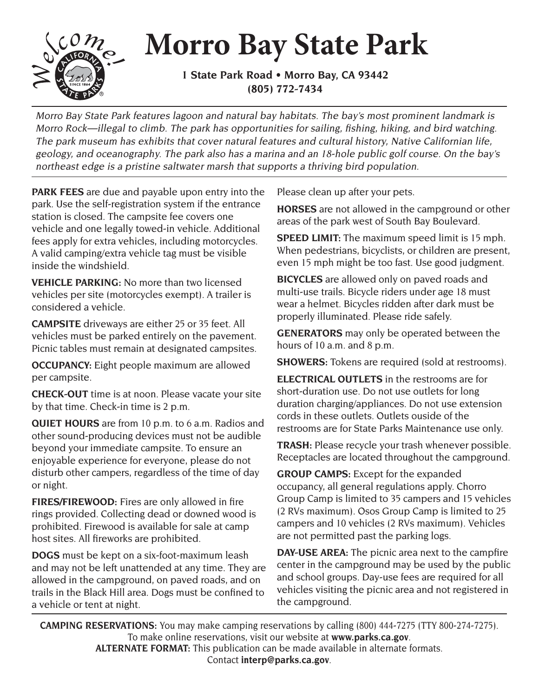## **Morro Bay State Park**



**1 State Park Road • Morro Bay, CA 93442 (805) 772-7434**

Morro Bay State Park features lagoon and natural bay habitats. The bay's most prominent landmark is Morro Rock—illegal to climb. The park has opportunities for sailing, fishing, hiking, and bird watching. The park museum has exhibits that cover natural features and cultural history, Native Californian life, geology, and oceanography. The park also has a marina and an 18-hole public golf course. On the bay's northeast edge is a pristine saltwater marsh that supports a thriving bird population.

**PARK FEES** are due and payable upon entry into the park. Use the self-registration system if the entrance station is closed. The campsite fee covers one vehicle and one legally towed-in vehicle. Additional fees apply for extra vehicles, including motorcycles. A valid camping/extra vehicle tag must be visible inside the windshield.

**VEHICLE PARKING:** No more than two licensed vehicles per site (motorcycles exempt). A trailer is considered a vehicle.

**CAMPSITE** driveways are either 25 or 35 feet. All vehicles must be parked entirely on the pavement. Picnic tables must remain at designated campsites.

**OCCUPANCY:** Eight people maximum are allowed per campsite.

**CHECK-OUT** time is at noon. Please vacate your site by that time. Check-in time is 2 p.m.

**QUIET HOURS** are from 10 p.m. to 6 a.m. Radios and other sound-producing devices must not be audible beyond your immediate campsite. To ensure an enjoyable experience for everyone, please do not disturb other campers, regardless of the time of day or night.

**FIRES/FIREWOOD:** Fires are only allowed in fire rings provided. Collecting dead or downed wood is prohibited. Firewood is available for sale at camp host sites. All fireworks are prohibited.

**DOGS** must be kept on a six-foot-maximum leash and may not be left unattended at any time. They are allowed in the campground, on paved roads, and on trails in the Black Hill area. Dogs must be confined to a vehicle or tent at night.

Please clean up after your pets.

**HORSES** are not allowed in the campground or other areas of the park west of South Bay Boulevard.

**SPEED LIMIT:** The maximum speed limit is 15 mph. When pedestrians, bicyclists, or children are present, even 15 mph might be too fast. Use good judgment.

**BICYCLES** are allowed only on paved roads and multi-use trails. Bicycle riders under age 18 must wear a helmet. Bicycles ridden after dark must be properly illuminated. Please ride safely.

**GENERATORS** may only be operated between the hours of 10 a.m. and 8 p.m.

**SHOWERS:** Tokens are required (sold at restrooms).

**ELECTRICAL OUTLETS** in the restrooms are for short-duration use. Do not use outlets for long duration charging/appliances. Do not use extension cords in these outlets. Outlets ouside of the restrooms are for State Parks Maintenance use only.

**TRASH:** Please recycle your trash whenever possible. Receptacles are located throughout the campground.

**GROUP CAMPS:** Except for the expanded occupancy, all general regulations apply. Chorro Group Camp is limited to 35 campers and 15 vehicles (2 RVs maximum). Osos Group Camp is limited to 25 campers and 10 vehicles (2 RVs maximum). Vehicles are not permitted past the parking logs.

**DAY-USE AREA:** The picnic area next to the campfire center in the campground may be used by the public and school groups. Day-use fees are required for all vehicles visiting the picnic area and not registered in the campground.

**CAMPING RESERVATIONS:** You may make camping reservations by calling (800) 444-7275 (TTY 800-274-7275). To make online reservations, visit our website at **www.parks.ca.gov**. **ALTERNATE FORMAT:** This publication can be made available in alternate formats. Contact **interp@parks.ca.gov**.